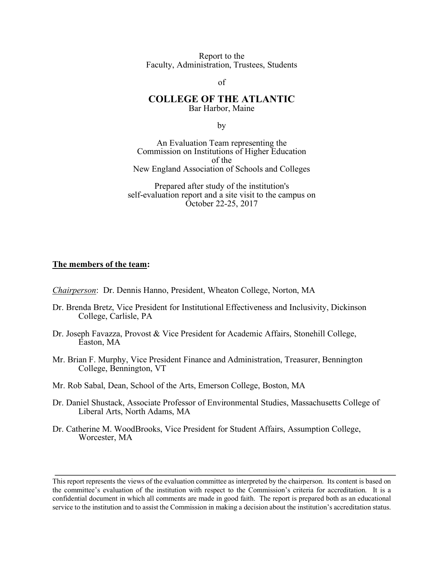Report to the Faculty, Administration, Trustees, Students

of

#### **COLLEGE OF THE ATLANTIC** Bar Harbor, Maine

by

An Evaluation Team representing the Commission on Institutions of Higher Education of the New England Association of Schools and Colleges

Prepared after study of the institution's self-evaluation report and a site visit to the campus on October 22-25, 2017

#### **The members of the team:**

*Chairperson*: Dr. Dennis Hanno, President, Wheaton College, Norton, MA

- Dr. Brenda Bretz, Vice President for Institutional Effectiveness and Inclusivity, Dickinson College, Carlisle, PA
- Dr. Joseph Favazza, Provost & Vice President for Academic Affairs, Stonehill College, Easton, MA
- Mr. Brian F. Murphy, Vice President Finance and Administration, Treasurer, Bennington College, Bennington, VT
- Mr. Rob Sabal, Dean, School of the Arts, Emerson College, Boston, MA
- Dr. Daniel Shustack, Associate Professor of Environmental Studies, Massachusetts College of Liberal Arts, North Adams, MA
- Dr. Catherine M. WoodBrooks, Vice President for Student Affairs, Assumption College, Worcester, MA

This report represents the views of the evaluation committee as interpreted by the chairperson. Its content is based on the committee's evaluation of the institution with respect to the Commission's criteria for accreditation. It is a confidential document in which all comments are made in good faith. The report is prepared both as an educational service to the institution and to assist the Commission in making a decision about the institution's accreditation status.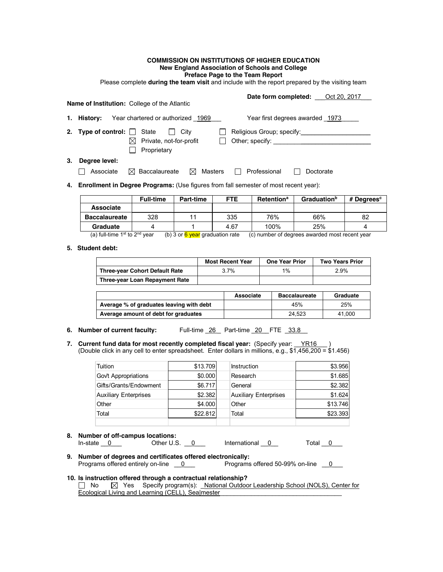#### **COMMISSION ON INSTITUTIONS OF HIGHER EDUCATION New England Association of Schools and College Preface Page to the Team Report**

Please complete **during the team visit** and include with the report prepared by the visiting team

|    |                                  | <b>Name of Institution:</b> College of the Atlantic                                     | <b>Date form completed:</b> Oct 20, 2017  |
|----|----------------------------------|-----------------------------------------------------------------------------------------|-------------------------------------------|
|    | 1. History:                      | Year chartered or authorized 1969                                                       | Year first degrees awarded 1973           |
|    | 2. Type of control: $\Box$ State | City<br>$\Box$<br>Private, not-for-profit<br>Proprietary                                | Religious Group; specify:                 |
| 3. | Degree level:<br>Associate       | $\bowtie$ Baccalaureate<br>$\boxtimes$ Masters                                          | Professional<br>Doctorate<br>$\mathbf{1}$ |
|    |                                  | 4. Enrollment in Degree Programs: (Use figures from fall semester of most recent year): |                                           |

|                      | <b>Full-time</b> | Part-time | <b>FTE</b> | <b>Retention</b> <sup>a</sup> | <b>Graduation</b> <sup>b</sup> | # Degrees $c$ |
|----------------------|------------------|-----------|------------|-------------------------------|--------------------------------|---------------|
| <b>Associate</b>     |                  |           |            |                               |                                |               |
| <b>Baccalaureate</b> | 328              |           | 335        | 76%                           | 66%                            | 82            |
| Graduate             |                  |           | 4.67       | 100%                          | 25%                            |               |

(a) full-time 1<sup>st</sup> to 2<sup>nd</sup> year (b) 3 or  $\frac{6}{9}$  year graduation rate (c) number of degrees awarded most recent year

#### **5. Student debt:**

|                                          | <b>Most Recent Year</b> |           | <b>One Year Prior</b> |                      | <b>Two Years Prior</b> |  |
|------------------------------------------|-------------------------|-----------|-----------------------|----------------------|------------------------|--|
| <b>Three-year Cohort Default Rate</b>    |                         | 3.7%      |                       | 1%                   | 2.9%                   |  |
| Three-year Loan Repayment Rate           |                         |           |                       |                      |                        |  |
|                                          |                         |           |                       |                      |                        |  |
|                                          |                         | Associate |                       | <b>Baccalaureate</b> | Graduate               |  |
| Average % of graduates leaving with debt |                         |           |                       | 45%                  | 25%                    |  |
| Average amount of debt for graduates     |                         |           |                       | 24.523               | 41.000                 |  |

**6. Number of current faculty:** Full-time 26 Part-time 20 FTE 33.8

**7. Current fund data for most recently completed fiscal year:** (Specify year: \_\_YR16\_\_\_ ) (Double click in any cell to enter spreadsheet. Enter dollars in millions, e.g., \$1,456,200 = \$1.456)

| Tuition                      | \$13.709 | Instruction                  | \$3.956  |
|------------------------------|----------|------------------------------|----------|
| Govt Appropriations          | \$0.000  | Research                     | \$1.685  |
| Gifts/Grants/Endowment       | \$6.717  | General                      | \$2.382  |
| <b>Auxiliary Enterprises</b> | \$2.382  | <b>Auxiliary Enterprises</b> | \$1.624  |
| Other                        | \$4,000  | Other                        | \$13,746 |
| Total                        | \$22.812 | Total                        | \$23.393 |
|                              |          |                              |          |

- **8. Number of off-campus locations:** In-state  $\underline{0}$  Other U.S.  $\underline{0}$  International  $\underline{0}$  Total  $\underline{0}$
- **9. Number of degrees and certificates offered electronically:** Programs offered entirely on-line  $\underline{\hspace{1cm}} 0$

#### **10. Is instruction offered through a contractual relationship?**

□ No  $\boxtimes$  Yes Specify program(s): National Outdoor Leadership School (NOLS), Center for Ecological Living and Learning (CELL), Sealmester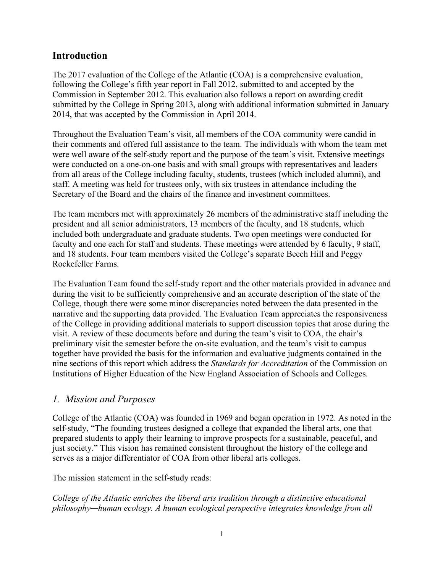### **Introduction**

The 2017 evaluation of the College of the Atlantic (COA) is a comprehensive evaluation, following the College's fifth year report in Fall 2012, submitted to and accepted by the Commission in September 2012. This evaluation also follows a report on awarding credit submitted by the College in Spring 2013, along with additional information submitted in January 2014, that was accepted by the Commission in April 2014.

Throughout the Evaluation Team's visit, all members of the COA community were candid in their comments and offered full assistance to the team. The individuals with whom the team met were well aware of the self-study report and the purpose of the team's visit. Extensive meetings were conducted on a one-on-one basis and with small groups with representatives and leaders from all areas of the College including faculty, students, trustees (which included alumni), and staff. A meeting was held for trustees only, with six trustees in attendance including the Secretary of the Board and the chairs of the finance and investment committees.

The team members met with approximately 26 members of the administrative staff including the president and all senior administrators, 13 members of the faculty, and 18 students, which included both undergraduate and graduate students. Two open meetings were conducted for faculty and one each for staff and students. These meetings were attended by 6 faculty, 9 staff, and 18 students. Four team members visited the College's separate Beech Hill and Peggy Rockefeller Farms.

The Evaluation Team found the self-study report and the other materials provided in advance and during the visit to be sufficiently comprehensive and an accurate description of the state of the College, though there were some minor discrepancies noted between the data presented in the narrative and the supporting data provided. The Evaluation Team appreciates the responsiveness of the College in providing additional materials to support discussion topics that arose during the visit. A review of these documents before and during the team's visit to COA, the chair's preliminary visit the semester before the on-site evaluation, and the team's visit to campus together have provided the basis for the information and evaluative judgments contained in the nine sections of this report which address the *Standards for Accreditation* of the Commission on Institutions of Higher Education of the New England Association of Schools and Colleges.

#### *1. Mission and Purposes*

College of the Atlantic (COA) was founded in 1969 and began operation in 1972. As noted in the self-study, "The founding trustees designed a college that expanded the liberal arts, one that prepared students to apply their learning to improve prospects for a sustainable, peaceful, and just society." This vision has remained consistent throughout the history of the college and serves as a major differentiator of COA from other liberal arts colleges.

The mission statement in the self-study reads:

*College of the Atlantic enriches the liberal arts tradition through a distinctive educational philosophy—human ecology. A human ecological perspective integrates knowledge from all*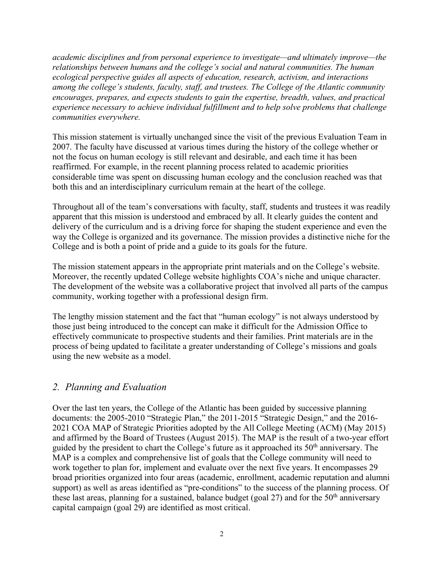*academic disciplines and from personal experience to investigate—and ultimately improve—the relationships between humans and the college's social and natural communities. The human ecological perspective guides all aspects of education, research, activism, and interactions among the college's students, faculty, staff, and trustees. The College of the Atlantic community encourages, prepares, and expects students to gain the expertise, breadth, values, and practical experience necessary to achieve individual fulfillment and to help solve problems that challenge communities everywhere.*

This mission statement is virtually unchanged since the visit of the previous Evaluation Team in 2007. The faculty have discussed at various times during the history of the college whether or not the focus on human ecology is still relevant and desirable, and each time it has been reaffirmed. For example, in the recent planning process related to academic priorities considerable time was spent on discussing human ecology and the conclusion reached was that both this and an interdisciplinary curriculum remain at the heart of the college.

Throughout all of the team's conversations with faculty, staff, students and trustees it was readily apparent that this mission is understood and embraced by all. It clearly guides the content and delivery of the curriculum and is a driving force for shaping the student experience and even the way the College is organized and its governance. The mission provides a distinctive niche for the College and is both a point of pride and a guide to its goals for the future.

The mission statement appears in the appropriate print materials and on the College's website. Moreover, the recently updated College website highlights COA's niche and unique character. The development of the website was a collaborative project that involved all parts of the campus community, working together with a professional design firm.

The lengthy mission statement and the fact that "human ecology" is not always understood by those just being introduced to the concept can make it difficult for the Admission Office to effectively communicate to prospective students and their families. Print materials are in the process of being updated to facilitate a greater understanding of College's missions and goals using the new website as a model.

# *2. Planning and Evaluation*

Over the last ten years, the College of the Atlantic has been guided by successive planning documents: the 2005-2010 "Strategic Plan," the 2011-2015 "Strategic Design," and the 2016- 2021 COA MAP of Strategic Priorities adopted by the All College Meeting (ACM) (May 2015) and affirmed by the Board of Trustees (August 2015). The MAP is the result of a two-year effort guided by the president to chart the College's future as it approached its 50th anniversary. The MAP is a complex and comprehensive list of goals that the College community will need to work together to plan for, implement and evaluate over the next five years. It encompasses 29 broad priorities organized into four areas (academic, enrollment, academic reputation and alumni support) as well as areas identified as "pre-conditions" to the success of the planning process. Of these last areas, planning for a sustained, balance budget (goal  $27$ ) and for the  $50<sup>th</sup>$  anniversary capital campaign (goal 29) are identified as most critical.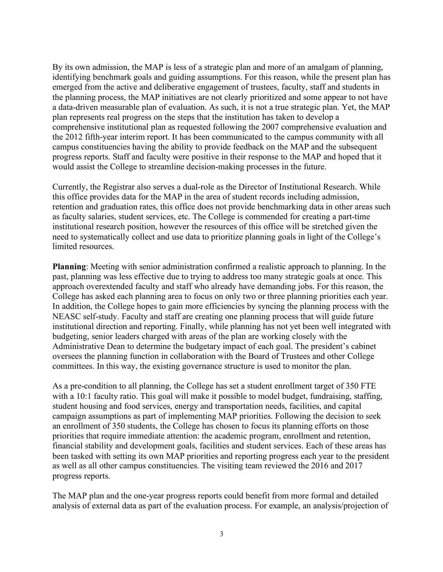By its own admission, the MAP is less of a strategic plan and more of an amalgam of planning, identifying benchmark goals and guiding assumptions. For this reason, while the present plan has emerged from the active and deliberative engagement of trustees, faculty, staff and students in the planning process, the MAP initiatives are not clearly prioritized and some appear to not have a data-driven measurable plan of evaluation. As such, it is not a true strategic plan. Yet, the MAP plan represents real progress on the steps that the institution has taken to develop a comprehensive institutional plan as requested following the 2007 comprehensive evaluation and the 2012 fifth-year interim report. It has been communicated to the campus community with all campus constituencies having the ability to provide feedback on the MAP and the subsequent progress reports. Staff and faculty were positive in their response to the MAP and hoped that it would assist the College to streamline decision-making processes in the future.

Currently, the Registrar also serves a dual-role as the Director of Institutional Research. While this office provides data for the MAP in the area of student records including admission, retention and graduation rates, this office does not provide benchmarking data in other areas such as faculty salaries, student services, etc. The College is commended for creating a part-time institutional research position, however the resources of this office will be stretched given the need to systematically collect and use data to prioritize planning goals in light of the College's limited resources.

**Planning**: Meeting with senior administration confirmed a realistic approach to planning. In the past, planning was less effective due to trying to address too many strategic goals at once. This approach overextended faculty and staff who already have demanding jobs. For this reason, the College has asked each planning area to focus on only two or three planning priorities each year. In addition, the College hopes to gain more efficiencies by syncing the planning process with the NEASC self-study. Faculty and staff are creating one planning process that will guide future institutional direction and reporting. Finally, while planning has not yet been well integrated with budgeting, senior leaders charged with areas of the plan are working closely with the Administrative Dean to determine the budgetary impact of each goal. The president's cabinet oversees the planning function in collaboration with the Board of Trustees and other College committees. In this way, the existing governance structure is used to monitor the plan.

As a pre-condition to all planning, the College has set a student enrollment target of 350 FTE with a 10:1 faculty ratio. This goal will make it possible to model budget, fundraising, staffing, student housing and food services, energy and transportation needs, facilities, and capital campaign assumptions as part of implementing MAP priorities. Following the decision to seek an enrollment of 350 students, the College has chosen to focus its planning efforts on those priorities that require immediate attention: the academic program, enrollment and retention, financial stability and development goals, facilities and student services. Each of these areas has been tasked with setting its own MAP priorities and reporting progress each year to the president as well as all other campus constituencies. The visiting team reviewed the 2016 and 2017 progress reports.

The MAP plan and the one-year progress reports could benefit from more formal and detailed analysis of external data as part of the evaluation process. For example, an analysis/projection of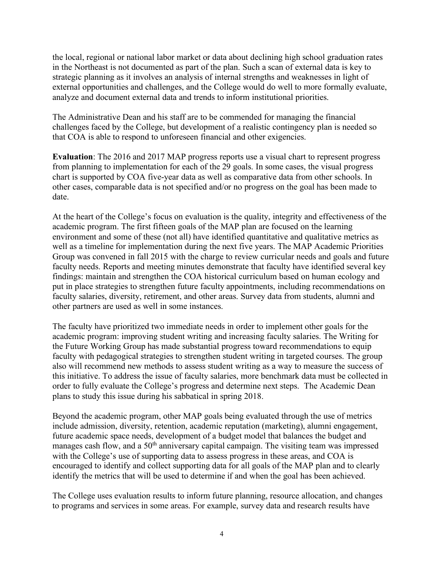the local, regional or national labor market or data about declining high school graduation rates in the Northeast is not documented as part of the plan. Such a scan of external data is key to strategic planning as it involves an analysis of internal strengths and weaknesses in light of external opportunities and challenges, and the College would do well to more formally evaluate, analyze and document external data and trends to inform institutional priorities.

The Administrative Dean and his staff are to be commended for managing the financial challenges faced by the College, but development of a realistic contingency plan is needed so that COA is able to respond to unforeseen financial and other exigencies.

**Evaluation**: The 2016 and 2017 MAP progress reports use a visual chart to represent progress from planning to implementation for each of the 29 goals. In some cases, the visual progress chart is supported by COA five-year data as well as comparative data from other schools. In other cases, comparable data is not specified and/or no progress on the goal has been made to date.

At the heart of the College's focus on evaluation is the quality, integrity and effectiveness of the academic program. The first fifteen goals of the MAP plan are focused on the learning environment and some of these (not all) have identified quantitative and qualitative metrics as well as a timeline for implementation during the next five years. The MAP Academic Priorities Group was convened in fall 2015 with the charge to review curricular needs and goals and future faculty needs. Reports and meeting minutes demonstrate that faculty have identified several key findings: maintain and strengthen the COA historical curriculum based on human ecology and put in place strategies to strengthen future faculty appointments, including recommendations on faculty salaries, diversity, retirement, and other areas. Survey data from students, alumni and other partners are used as well in some instances.

The faculty have prioritized two immediate needs in order to implement other goals for the academic program: improving student writing and increasing faculty salaries. The Writing for the Future Working Group has made substantial progress toward recommendations to equip faculty with pedagogical strategies to strengthen student writing in targeted courses. The group also will recommend new methods to assess student writing as a way to measure the success of this initiative. To address the issue of faculty salaries, more benchmark data must be collected in order to fully evaluate the College's progress and determine next steps. The Academic Dean plans to study this issue during his sabbatical in spring 2018.

Beyond the academic program, other MAP goals being evaluated through the use of metrics include admission, diversity, retention, academic reputation (marketing), alumni engagement, future academic space needs, development of a budget model that balances the budget and manages cash flow, and a 50<sup>th</sup> anniversary capital campaign. The visiting team was impressed with the College's use of supporting data to assess progress in these areas, and COA is encouraged to identify and collect supporting data for all goals of the MAP plan and to clearly identify the metrics that will be used to determine if and when the goal has been achieved.

The College uses evaluation results to inform future planning, resource allocation, and changes to programs and services in some areas. For example, survey data and research results have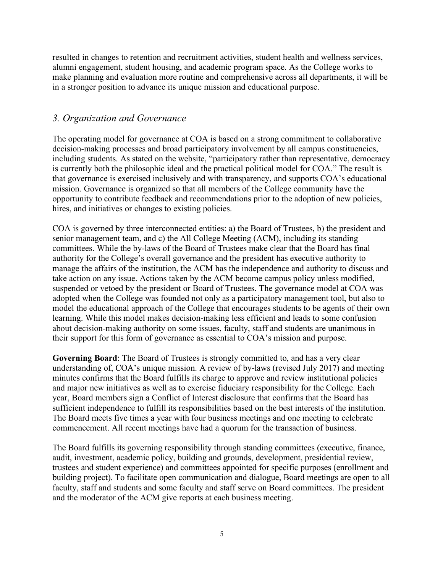resulted in changes to retention and recruitment activities, student health and wellness services, alumni engagement, student housing, and academic program space. As the College works to make planning and evaluation more routine and comprehensive across all departments, it will be in a stronger position to advance its unique mission and educational purpose.

### *3. Organization and Governance*

The operating model for governance at COA is based on a strong commitment to collaborative decision-making processes and broad participatory involvement by all campus constituencies, including students. As stated on the website, "participatory rather than representative, democracy is currently both the philosophic ideal and the practical political model for COA." The result is that governance is exercised inclusively and with transparency, and supports COA's educational mission. Governance is organized so that all members of the College community have the opportunity to contribute feedback and recommendations prior to the adoption of new policies, hires, and initiatives or changes to existing policies.

COA is governed by three interconnected entities: a) the Board of Trustees, b) the president and senior management team, and c) the All College Meeting (ACM), including its standing committees. While the by-laws of the Board of Trustees make clear that the Board has final authority for the College's overall governance and the president has executive authority to manage the affairs of the institution, the ACM has the independence and authority to discuss and take action on any issue. Actions taken by the ACM become campus policy unless modified, suspended or vetoed by the president or Board of Trustees. The governance model at COA was adopted when the College was founded not only as a participatory management tool, but also to model the educational approach of the College that encourages students to be agents of their own learning. While this model makes decision-making less efficient and leads to some confusion about decision-making authority on some issues, faculty, staff and students are unanimous in their support for this form of governance as essential to COA's mission and purpose.

**Governing Board**: The Board of Trustees is strongly committed to, and has a very clear understanding of, COA's unique mission. A review of by-laws (revised July 2017) and meeting minutes confirms that the Board fulfills its charge to approve and review institutional policies and major new initiatives as well as to exercise fiduciary responsibility for the College. Each year, Board members sign a Conflict of Interest disclosure that confirms that the Board has sufficient independence to fulfill its responsibilities based on the best interests of the institution. The Board meets five times a year with four business meetings and one meeting to celebrate commencement. All recent meetings have had a quorum for the transaction of business.

The Board fulfills its governing responsibility through standing committees (executive, finance, audit, investment, academic policy, building and grounds, development, presidential review, trustees and student experience) and committees appointed for specific purposes (enrollment and building project). To facilitate open communication and dialogue, Board meetings are open to all faculty, staff and students and some faculty and staff serve on Board committees. The president and the moderator of the ACM give reports at each business meeting.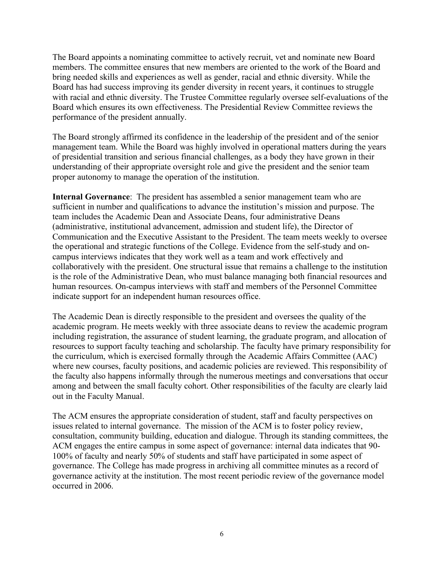The Board appoints a nominating committee to actively recruit, vet and nominate new Board members. The committee ensures that new members are oriented to the work of the Board and bring needed skills and experiences as well as gender, racial and ethnic diversity. While the Board has had success improving its gender diversity in recent years, it continues to struggle with racial and ethnic diversity. The Trustee Committee regularly oversee self-evaluations of the Board which ensures its own effectiveness. The Presidential Review Committee reviews the performance of the president annually.

The Board strongly affirmed its confidence in the leadership of the president and of the senior management team. While the Board was highly involved in operational matters during the years of presidential transition and serious financial challenges, as a body they have grown in their understanding of their appropriate oversight role and give the president and the senior team proper autonomy to manage the operation of the institution.

**Internal Governance**: The president has assembled a senior management team who are sufficient in number and qualifications to advance the institution's mission and purpose. The team includes the Academic Dean and Associate Deans, four administrative Deans (administrative, institutional advancement, admission and student life), the Director of Communication and the Executive Assistant to the President. The team meets weekly to oversee the operational and strategic functions of the College. Evidence from the self-study and oncampus interviews indicates that they work well as a team and work effectively and collaboratively with the president. One structural issue that remains a challenge to the institution is the role of the Administrative Dean, who must balance managing both financial resources and human resources. On-campus interviews with staff and members of the Personnel Committee indicate support for an independent human resources office.

The Academic Dean is directly responsible to the president and oversees the quality of the academic program. He meets weekly with three associate deans to review the academic program including registration, the assurance of student learning, the graduate program, and allocation of resources to support faculty teaching and scholarship. The faculty have primary responsibility for the curriculum, which is exercised formally through the Academic Affairs Committee (AAC) where new courses, faculty positions, and academic policies are reviewed. This responsibility of the faculty also happens informally through the numerous meetings and conversations that occur among and between the small faculty cohort. Other responsibilities of the faculty are clearly laid out in the Faculty Manual.

The ACM ensures the appropriate consideration of student, staff and faculty perspectives on issues related to internal governance. The mission of the ACM is to foster policy review, consultation, community building, education and dialogue. Through its standing committees, the ACM engages the entire campus in some aspect of governance: internal data indicates that 90- 100% of faculty and nearly 50% of students and staff have participated in some aspect of governance. The College has made progress in archiving all committee minutes as a record of governance activity at the institution. The most recent periodic review of the governance model occurred in 2006.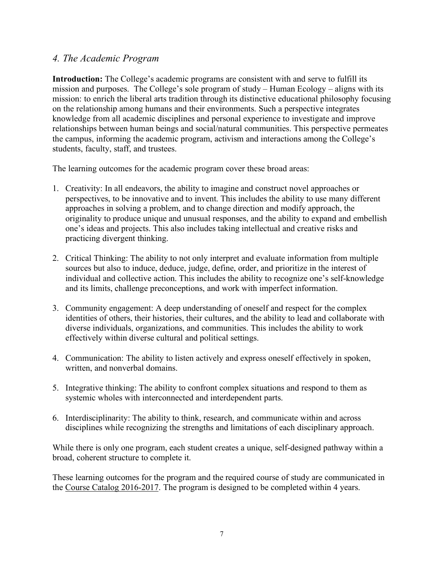### *4. The Academic Program*

**Introduction:** The College's academic programs are consistent with and serve to fulfill its mission and purposes.The College's sole program of study – Human Ecology – aligns with its mission: to enrich the liberal arts tradition through its distinctive educational philosophy focusing on the relationship among humans and their environments. Such a perspective integrates knowledge from all academic disciplines and personal experience to investigate and improve relationships between human beings and social/natural communities. This perspective permeates the campus, informing the academic program, activism and interactions among the College's students, faculty, staff, and trustees.

The learning outcomes for the academic program cover these broad areas:

- 1. Creativity: In all endeavors, the ability to imagine and construct novel approaches or perspectives, to be innovative and to invent. This includes the ability to use many different approaches in solving a problem, and to change direction and modify approach, the originality to produce unique and unusual responses, and the ability to expand and embellish one's ideas and projects. This also includes taking intellectual and creative risks and practicing divergent thinking.
- 2. Critical Thinking: The ability to not only interpret and evaluate information from multiple sources but also to induce, deduce, judge, define, order, and prioritize in the interest of individual and collective action. This includes the ability to recognize one's self-knowledge and its limits, challenge preconceptions, and work with imperfect information.
- 3. Community engagement: A deep understanding of oneself and respect for the complex identities of others, their histories, their cultures, and the ability to lead and collaborate with diverse individuals, organizations, and communities. This includes the ability to work effectively within diverse cultural and political settings.
- 4. Communication: The ability to listen actively and express oneself effectively in spoken, written, and nonverbal domains.
- 5. Integrative thinking: The ability to confront complex situations and respond to them as systemic wholes with interconnected and interdependent parts.
- 6. Interdisciplinarity: The ability to think, research, and communicate within and across disciplines while recognizing the strengths and limitations of each disciplinary approach.

While there is only one program, each student creates a unique, self-designed pathway within a broad, coherent structure to complete it.

These learning outcomes for the program and the required course of study are communicated in the Course Catalog 2016-2017. The program is designed to be completed within 4 years.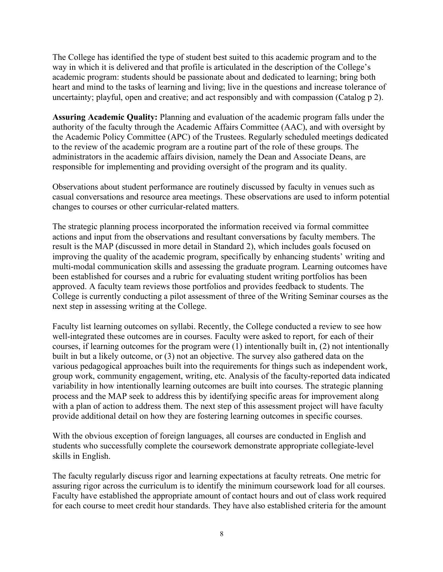The College has identified the type of student best suited to this academic program and to the way in which it is delivered and that profile is articulated in the description of the College's academic program: students should be passionate about and dedicated to learning; bring both heart and mind to the tasks of learning and living; live in the questions and increase tolerance of uncertainty; playful, open and creative; and act responsibly and with compassion (Catalog p 2).

**Assuring Academic Quality:** Planning and evaluation of the academic program falls under the authority of the faculty through the Academic Affairs Committee (AAC), and with oversight by the Academic Policy Committee (APC) of the Trustees. Regularly scheduled meetings dedicated to the review of the academic program are a routine part of the role of these groups. The administrators in the academic affairs division, namely the Dean and Associate Deans, are responsible for implementing and providing oversight of the program and its quality.

Observations about student performance are routinely discussed by faculty in venues such as casual conversations and resource area meetings. These observations are used to inform potential changes to courses or other curricular-related matters.

The strategic planning process incorporated the information received via formal committee actions and input from the observations and resultant conversations by faculty members. The result is the MAP (discussed in more detail in Standard 2), which includes goals focused on improving the quality of the academic program, specifically by enhancing students' writing and multi-modal communication skills and assessing the graduate program. Learning outcomes have been established for courses and a rubric for evaluating student writing portfolios has been approved. A faculty team reviews those portfolios and provides feedback to students. The College is currently conducting a pilot assessment of three of the Writing Seminar courses as the next step in assessing writing at the College.

Faculty list learning outcomes on syllabi. Recently, the College conducted a review to see how well-integrated these outcomes are in courses. Faculty were asked to report, for each of their courses, if learning outcomes for the program were (1) intentionally built in, (2) not intentionally built in but a likely outcome, or (3) not an objective. The survey also gathered data on the various pedagogical approaches built into the requirements for things such as independent work, group work, community engagement, writing, etc. Analysis of the faculty-reported data indicated variability in how intentionally learning outcomes are built into courses. The strategic planning process and the MAP seek to address this by identifying specific areas for improvement along with a plan of action to address them. The next step of this assessment project will have faculty provide additional detail on how they are fostering learning outcomes in specific courses.

With the obvious exception of foreign languages, all courses are conducted in English and students who successfully complete the coursework demonstrate appropriate collegiate-level skills in English.

The faculty regularly discuss rigor and learning expectations at faculty retreats. One metric for assuring rigor across the curriculum is to identify the minimum coursework load for all courses. Faculty have established the appropriate amount of contact hours and out of class work required for each course to meet credit hour standards. They have also established criteria for the amount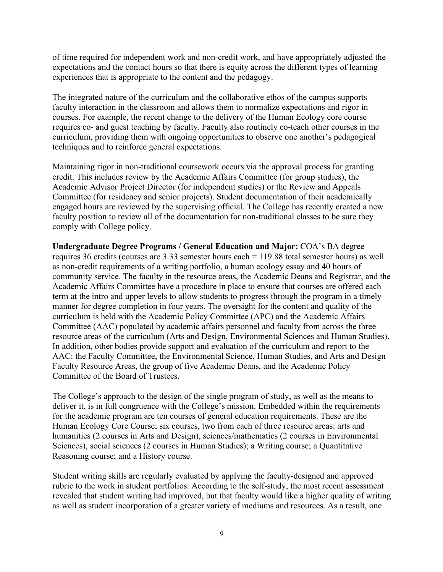of time required for independent work and non-credit work, and have appropriately adjusted the expectations and the contact hours so that there is equity across the different types of learning experiences that is appropriate to the content and the pedagogy.

The integrated nature of the curriculum and the collaborative ethos of the campus supports faculty interaction in the classroom and allows them to normalize expectations and rigor in courses. For example, the recent change to the delivery of the Human Ecology core course requires co- and guest teaching by faculty. Faculty also routinely co-teach other courses in the curriculum, providing them with ongoing opportunities to observe one another's pedagogical techniques and to reinforce general expectations.

Maintaining rigor in non-traditional coursework occurs via the approval process for granting credit. This includes review by the Academic Affairs Committee (for group studies), the Academic Advisor Project Director (for independent studies) or the Review and Appeals Committee (for residency and senior projects). Student documentation of their academically engaged hours are reviewed by the supervising official. The College has recently created a new faculty position to review all of the documentation for non-traditional classes to be sure they comply with College policy.

**Undergraduate Degree Programs / General Education and Major:** COA's BA degree requires 36 credits (courses are 3.33 semester hours each = 119.88 total semester hours) as well as non-credit requirements of a writing portfolio, a human ecology essay and 40 hours of community service. The faculty in the resource areas, the Academic Deans and Registrar, and the Academic Affairs Committee have a procedure in place to ensure that courses are offered each term at the intro and upper levels to allow students to progress through the program in a timely manner for degree completion in four years. The oversight for the content and quality of the curriculum is held with the Academic Policy Committee (APC) and the Academic Affairs Committee (AAC) populated by academic affairs personnel and faculty from across the three resource areas of the curriculum (Arts and Design, Environmental Sciences and Human Studies). In addition, other bodies provide support and evaluation of the curriculum and report to the AAC: the Faculty Committee, the Environmental Science, Human Studies, and Arts and Design Faculty Resource Areas, the group of five Academic Deans, and the Academic Policy Committee of the Board of Trustees.

The College's approach to the design of the single program of study, as well as the means to deliver it, is in full congruence with the College's mission. Embedded within the requirements for the academic program are ten courses of general education requirements. These are the Human Ecology Core Course; six courses, two from each of three resource areas: arts and humanities (2 courses in Arts and Design), sciences/mathematics (2 courses in Environmental Sciences), social sciences (2 courses in Human Studies); a Writing course; a Quantitative Reasoning course; and a History course.

Student writing skills are regularly evaluated by applying the faculty-designed and approved rubric to the work in student portfolios. According to the self-study, the most recent assessment revealed that student writing had improved, but that faculty would like a higher quality of writing as well as student incorporation of a greater variety of mediums and resources. As a result, one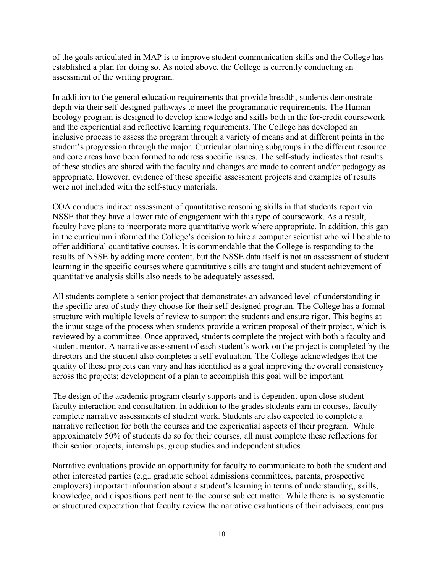of the goals articulated in MAP is to improve student communication skills and the College has established a plan for doing so. As noted above, the College is currently conducting an assessment of the writing program.

In addition to the general education requirements that provide breadth, students demonstrate depth via their self-designed pathways to meet the programmatic requirements. The Human Ecology program is designed to develop knowledge and skills both in the for-credit coursework and the experiential and reflective learning requirements. The College has developed an inclusive process to assess the program through a variety of means and at different points in the student's progression through the major. Curricular planning subgroups in the different resource and core areas have been formed to address specific issues. The self-study indicates that results of these studies are shared with the faculty and changes are made to content and/or pedagogy as appropriate. However, evidence of these specific assessment projects and examples of results were not included with the self-study materials.

COA conducts indirect assessment of quantitative reasoning skills in that students report via NSSE that they have a lower rate of engagement with this type of coursework. As a result, faculty have plans to incorporate more quantitative work where appropriate. In addition, this gap in the curriculum informed the College's decision to hire a computer scientist who will be able to offer additional quantitative courses. It is commendable that the College is responding to the results of NSSE by adding more content, but the NSSE data itself is not an assessment of student learning in the specific courses where quantitative skills are taught and student achievement of quantitative analysis skills also needs to be adequately assessed.

All students complete a senior project that demonstrates an advanced level of understanding in the specific area of study they choose for their self-designed program. The College has a formal structure with multiple levels of review to support the students and ensure rigor. This begins at the input stage of the process when students provide a written proposal of their project, which is reviewed by a committee. Once approved, students complete the project with both a faculty and student mentor. A narrative assessment of each student's work on the project is completed by the directors and the student also completes a self-evaluation. The College acknowledges that the quality of these projects can vary and has identified as a goal improving the overall consistency across the projects; development of a plan to accomplish this goal will be important.

The design of the academic program clearly supports and is dependent upon close studentfaculty interaction and consultation. In addition to the grades students earn in courses, faculty complete narrative assessments of student work. Students are also expected to complete a narrative reflection for both the courses and the experiential aspects of their program. While approximately 50% of students do so for their courses, all must complete these reflections for their senior projects, internships, group studies and independent studies.

Narrative evaluations provide an opportunity for faculty to communicate to both the student and other interested parties (e.g., graduate school admissions committees, parents, prospective employers) important information about a student's learning in terms of understanding, skills, knowledge, and dispositions pertinent to the course subject matter. While there is no systematic or structured expectation that faculty review the narrative evaluations of their advisees, campus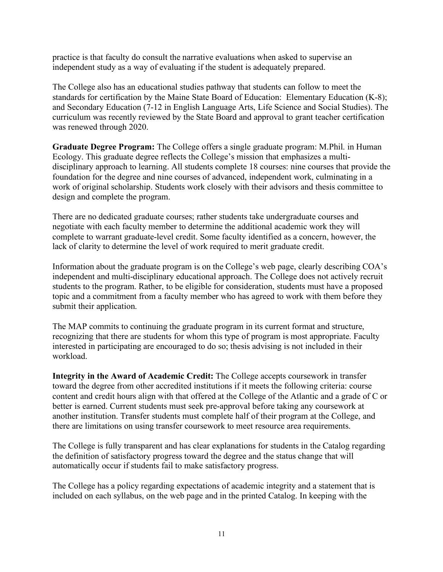practice is that faculty do consult the narrative evaluations when asked to supervise an independent study as a way of evaluating if the student is adequately prepared.

The College also has an educational studies pathway that students can follow to meet the standards for certification by the Maine State Board of Education: Elementary Education (K-8); and Secondary Education (7-12 in English Language Arts, Life Science and Social Studies). The curriculum was recently reviewed by the State Board and approval to grant teacher certification was renewed through 2020.

**Graduate Degree Program:** The College offers a single graduate program: M.Phil. in Human Ecology. This graduate degree reflects the College's mission that emphasizes a multidisciplinary approach to learning. All students complete 18 courses: nine courses that provide the foundation for the degree and nine courses of advanced, independent work, culminating in a work of original scholarship. Students work closely with their advisors and thesis committee to design and complete the program.

There are no dedicated graduate courses; rather students take undergraduate courses and negotiate with each faculty member to determine the additional academic work they will complete to warrant graduate-level credit. Some faculty identified as a concern, however, the lack of clarity to determine the level of work required to merit graduate credit.

Information about the graduate program is on the College's web page, clearly describing COA's independent and multi-disciplinary educational approach. The College does not actively recruit students to the program. Rather, to be eligible for consideration, students must have a proposed topic and a commitment from a faculty member who has agreed to work with them before they submit their application.

The MAP commits to continuing the graduate program in its current format and structure, recognizing that there are students for whom this type of program is most appropriate. Faculty interested in participating are encouraged to do so; thesis advising is not included in their workload.

**Integrity in the Award of Academic Credit:** The College accepts coursework in transfer toward the degree from other accredited institutions if it meets the following criteria: course content and credit hours align with that offered at the College of the Atlantic and a grade of C or better is earned. Current students must seek pre-approval before taking any coursework at another institution. Transfer students must complete half of their program at the College, and there are limitations on using transfer coursework to meet resource area requirements.

The College is fully transparent and has clear explanations for students in the Catalog regarding the definition of satisfactory progress toward the degree and the status change that will automatically occur if students fail to make satisfactory progress.

The College has a policy regarding expectations of academic integrity and a statement that is included on each syllabus, on the web page and in the printed Catalog. In keeping with the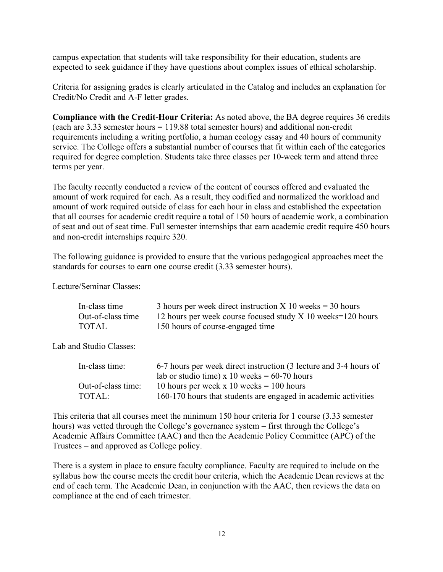campus expectation that students will take responsibility for their education, students are expected to seek guidance if they have questions about complex issues of ethical scholarship.

Criteria for assigning grades is clearly articulated in the Catalog and includes an explanation for Credit/No Credit and A-F letter grades.

**Compliance with the Credit-Hour Criteria:** As noted above, the BA degree requires 36 credits (each are 3.33 semester hours = 119.88 total semester hours) and additional non-credit requirements including a writing portfolio, a human ecology essay and 40 hours of community service. The College offers a substantial number of courses that fit within each of the categories required for degree completion. Students take three classes per 10-week term and attend three terms per year.

The faculty recently conducted a review of the content of courses offered and evaluated the amount of work required for each. As a result, they codified and normalized the workload and amount of work required outside of class for each hour in class and established the expectation that all courses for academic credit require a total of 150 hours of academic work, a combination of seat and out of seat time. Full semester internships that earn academic credit require 450 hours and non-credit internships require 320.

The following guidance is provided to ensure that the various pedagogical approaches meet the standards for courses to earn one course credit (3.33 semester hours).

Lecture/Seminar Classes:

| In-class time     | 3 hours per week direct instruction X 10 weeks $=$ 30 hours |
|-------------------|-------------------------------------------------------------|
| Out-of-class time | 12 hours per week course focused study X 10 weeks=120 hours |
| <b>TOTAL</b>      | 150 hours of course-engaged time                            |

Lab and Studio Classes:

| In-class time:     | 6-7 hours per week direct instruction (3 lecture and 3-4 hours of |  |  |  |
|--------------------|-------------------------------------------------------------------|--|--|--|
|                    | lab or studio time) x 10 weeks = $60-70$ hours                    |  |  |  |
| Out-of-class time: | 10 hours per week x 10 weeks $= 100$ hours                        |  |  |  |
| TOTAL:             | 160-170 hours that students are engaged in academic activities    |  |  |  |

This criteria that all courses meet the minimum 150 hour criteria for 1 course (3.33 semester hours) was vetted through the College's governance system – first through the College's Academic Affairs Committee (AAC) and then the Academic Policy Committee (APC) of the Trustees – and approved as College policy.

There is a system in place to ensure faculty compliance. Faculty are required to include on the syllabus how the course meets the credit hour criteria, which the Academic Dean reviews at the end of each term. The Academic Dean, in conjunction with the AAC, then reviews the data on compliance at the end of each trimester.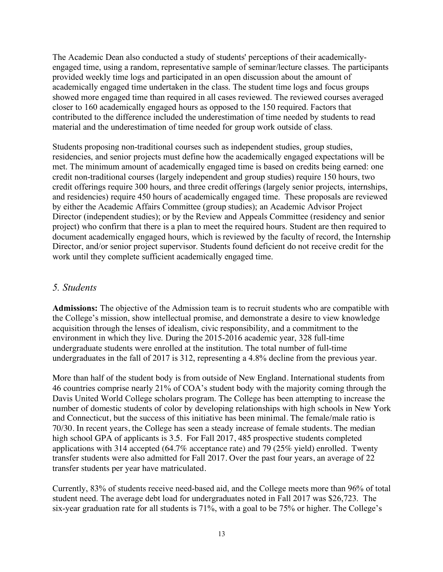The Academic Dean also conducted a study of students' perceptions of their academicallyengaged time, using a random, representative sample of seminar/lecture classes. The participants provided weekly time logs and participated in an open discussion about the amount of academically engaged time undertaken in the class. The student time logs and focus groups showed more engaged time than required in all cases reviewed. The reviewed courses averaged closer to 160 academically engaged hours as opposed to the 150 required. Factors that contributed to the difference included the underestimation of time needed by students to read material and the underestimation of time needed for group work outside of class.

Students proposing non-traditional courses such as independent studies, group studies, residencies, and senior projects must define how the academically engaged expectations will be met. The minimum amount of academically engaged time is based on credits being earned: one credit non-traditional courses (largely independent and group studies) require 150 hours, two credit offerings require 300 hours, and three credit offerings (largely senior projects, internships, and residencies) require 450 hours of academically engaged time. These proposals are reviewed by either the Academic Affairs Committee (group studies); an Academic Advisor Project Director (independent studies); or by the Review and Appeals Committee (residency and senior project) who confirm that there is a plan to meet the required hours. Student are then required to document academically engaged hours, which is reviewed by the faculty of record, the Internship Director, and/or senior project supervisor. Students found deficient do not receive credit for the work until they complete sufficient academically engaged time.

#### *5. Students*

**Admissions:** The objective of the Admission team is to recruit students who are compatible with the College's mission, show intellectual promise, and demonstrate a desire to view knowledge acquisition through the lenses of idealism, civic responsibility, and a commitment to the environment in which they live. During the 2015-2016 academic year, 328 full-time undergraduate students were enrolled at the institution. The total number of full-time undergraduates in the fall of 2017 is 312, representing a 4.8% decline from the previous year.

More than half of the student body is from outside of New England. International students from 46 countries comprise nearly 21% of COA's student body with the majority coming through the Davis United World College scholars program. The College has been attempting to increase the number of domestic students of color by developing relationships with high schools in New York and Connecticut, but the success of this initiative has been minimal. The female/male ratio is 70/30. In recent years, the College has seen a steady increase of female students. The median high school GPA of applicants is 3.5. For Fall 2017, 485 prospective students completed applications with 314 accepted (64.7% acceptance rate) and 79 (25% yield) enrolled. Twenty transfer students were also admitted for Fall 2017. Over the past four years, an average of 22 transfer students per year have matriculated.

Currently, 83% of students receive need-based aid, and the College meets more than 96% of total student need. The average debt load for undergraduates noted in Fall 2017 was \$26,723. The six-year graduation rate for all students is 71%, with a goal to be 75% or higher. The College's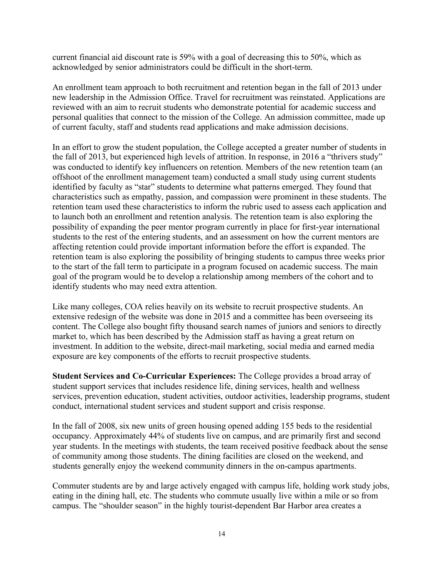current financial aid discount rate is 59% with a goal of decreasing this to 50%, which as acknowledged by senior administrators could be difficult in the short-term.

An enrollment team approach to both recruitment and retention began in the fall of 2013 under new leadership in the Admission Office. Travel for recruitment was reinstated. Applications are reviewed with an aim to recruit students who demonstrate potential for academic success and personal qualities that connect to the mission of the College. An admission committee, made up of current faculty, staff and students read applications and make admission decisions.

In an effort to grow the student population, the College accepted a greater number of students in the fall of 2013, but experienced high levels of attrition. In response, in 2016 a "thrivers study" was conducted to identify key influencers on retention. Members of the new retention team (an offshoot of the enrollment management team) conducted a small study using current students identified by faculty as "star" students to determine what patterns emerged. They found that characteristics such as empathy, passion, and compassion were prominent in these students. The retention team used these characteristics to inform the rubric used to assess each application and to launch both an enrollment and retention analysis. The retention team is also exploring the possibility of expanding the peer mentor program currently in place for first-year international students to the rest of the entering students, and an assessment on how the current mentors are affecting retention could provide important information before the effort is expanded. The retention team is also exploring the possibility of bringing students to campus three weeks prior to the start of the fall term to participate in a program focused on academic success. The main goal of the program would be to develop a relationship among members of the cohort and to identify students who may need extra attention.

Like many colleges, COA relies heavily on its website to recruit prospective students. An extensive redesign of the website was done in 2015 and a committee has been overseeing its content. The College also bought fifty thousand search names of juniors and seniors to directly market to, which has been described by the Admission staff as having a great return on investment. In addition to the website, direct-mail marketing, social media and earned media exposure are key components of the efforts to recruit prospective students.

**Student Services and Co-Curricular Experiences:** The College provides a broad array of student support services that includes residence life, dining services, health and wellness services, prevention education, student activities, outdoor activities, leadership programs, student conduct, international student services and student support and crisis response.

In the fall of 2008, six new units of green housing opened adding 155 beds to the residential occupancy. Approximately 44% of students live on campus, and are primarily first and second year students. In the meetings with students, the team received positive feedback about the sense of community among those students. The dining facilities are closed on the weekend, and students generally enjoy the weekend community dinners in the on-campus apartments.

Commuter students are by and large actively engaged with campus life, holding work study jobs, eating in the dining hall, etc. The students who commute usually live within a mile or so from campus. The "shoulder season" in the highly tourist-dependent Bar Harbor area creates a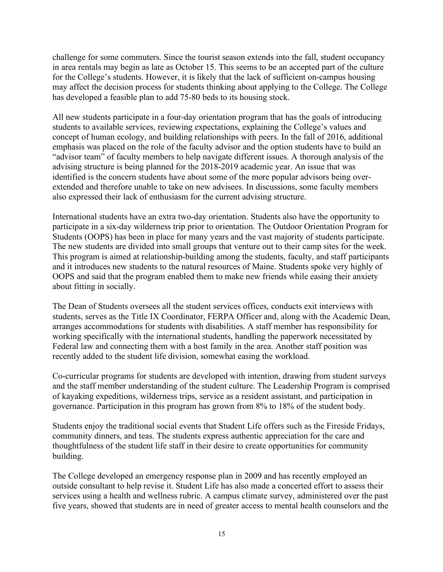challenge for some commuters. Since the tourist season extends into the fall, student occupancy in area rentals may begin as late as October 15. This seems to be an accepted part of the culture for the College's students. However, it is likely that the lack of sufficient on-campus housing may affect the decision process for students thinking about applying to the College. The College has developed a feasible plan to add 75-80 beds to its housing stock.

All new students participate in a four-day orientation program that has the goals of introducing students to available services, reviewing expectations, explaining the College's values and concept of human ecology, and building relationships with peers. In the fall of 2016, additional emphasis was placed on the role of the faculty advisor and the option students have to build an "advisor team" of faculty members to help navigate different issues. A thorough analysis of the advising structure is being planned for the 2018-2019 academic year. An issue that was identified is the concern students have about some of the more popular advisors being overextended and therefore unable to take on new advisees. In discussions, some faculty members also expressed their lack of enthusiasm for the current advising structure.

International students have an extra two-day orientation. Students also have the opportunity to participate in a six-day wilderness trip prior to orientation. The Outdoor Orientation Program for Students (OOPS) has been in place for many years and the vast majority of students participate. The new students are divided into small groups that venture out to their camp sites for the week. This program is aimed at relationship-building among the students, faculty, and staff participants and it introduces new students to the natural resources of Maine. Students spoke very highly of OOPS and said that the program enabled them to make new friends while easing their anxiety about fitting in socially.

The Dean of Students oversees all the student services offices, conducts exit interviews with students, serves as the Title IX Coordinator, FERPA Officer and, along with the Academic Dean, arranges accommodations for students with disabilities. A staff member has responsibility for working specifically with the international students, handling the paperwork necessitated by Federal law and connecting them with a host family in the area. Another staff position was recently added to the student life division, somewhat easing the workload.

Co-curricular programs for students are developed with intention, drawing from student surveys and the staff member understanding of the student culture. The Leadership Program is comprised of kayaking expeditions, wilderness trips, service as a resident assistant, and participation in governance. Participation in this program has grown from 8% to 18% of the student body.

Students enjoy the traditional social events that Student Life offers such as the Fireside Fridays, community dinners, and teas. The students express authentic appreciation for the care and thoughtfulness of the student life staff in their desire to create opportunities for community building.

The College developed an emergency response plan in 2009 and has recently employed an outside consultant to help revise it. Student Life has also made a concerted effort to assess their services using a health and wellness rubric. A campus climate survey, administered over the past five years, showed that students are in need of greater access to mental health counselors and the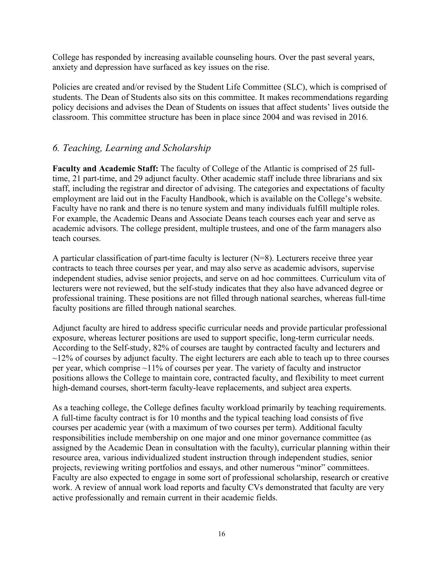College has responded by increasing available counseling hours. Over the past several years, anxiety and depression have surfaced as key issues on the rise.

Policies are created and/or revised by the Student Life Committee (SLC), which is comprised of students. The Dean of Students also sits on this committee. It makes recommendations regarding policy decisions and advises the Dean of Students on issues that affect students' lives outside the classroom. This committee structure has been in place since 2004 and was revised in 2016.

# *6. Teaching, Learning and Scholarship*

**Faculty and Academic Staff:** The faculty of College of the Atlantic is comprised of 25 fulltime, 21 part-time, and 29 adjunct faculty. Other academic staff include three librarians and six staff, including the registrar and director of advising. The categories and expectations of faculty employment are laid out in the Faculty Handbook, which is available on the College's website. Faculty have no rank and there is no tenure system and many individuals fulfill multiple roles. For example, the Academic Deans and Associate Deans teach courses each year and serve as academic advisors. The college president, multiple trustees, and one of the farm managers also teach courses.

A particular classification of part-time faculty is lecturer (N=8). Lecturers receive three year contracts to teach three courses per year, and may also serve as academic advisors, supervise independent studies, advise senior projects, and serve on ad hoc committees. Curriculum vita of lecturers were not reviewed, but the self-study indicates that they also have advanced degree or professional training. These positions are not filled through national searches, whereas full-time faculty positions are filled through national searches.

Adjunct faculty are hired to address specific curricular needs and provide particular professional exposure, whereas lecturer positions are used to support specific, long-term curricular needs. According to the Self-study, 82% of courses are taught by contracted faculty and lecturers and  $\sim$ 12% of courses by adjunct faculty. The eight lecturers are each able to teach up to three courses per year, which comprise ~11% of courses per year. The variety of faculty and instructor positions allows the College to maintain core, contracted faculty, and flexibility to meet current high-demand courses, short-term faculty-leave replacements, and subject area experts.

As a teaching college, the College defines faculty workload primarily by teaching requirements. A full-time faculty contract is for 10 months and the typical teaching load consists of five courses per academic year (with a maximum of two courses per term). Additional faculty responsibilities include membership on one major and one minor governance committee (as assigned by the Academic Dean in consultation with the faculty), curricular planning within their resource area, various individualized student instruction through independent studies, senior projects, reviewing writing portfolios and essays, and other numerous "minor" committees. Faculty are also expected to engage in some sort of professional scholarship, research or creative work. A review of annual work load reports and faculty CVs demonstrated that faculty are very active professionally and remain current in their academic fields.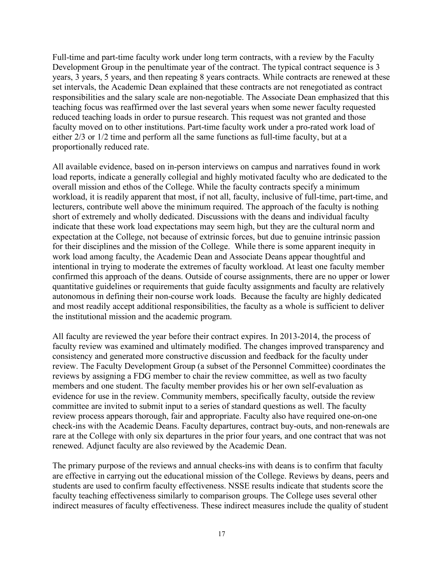Full-time and part-time faculty work under long term contracts, with a review by the Faculty Development Group in the penultimate year of the contract. The typical contract sequence is 3 years, 3 years, 5 years, and then repeating 8 years contracts. While contracts are renewed at these set intervals, the Academic Dean explained that these contracts are not renegotiated as contract responsibilities and the salary scale are non-negotiable. The Associate Dean emphasized that this teaching focus was reaffirmed over the last several years when some newer faculty requested reduced teaching loads in order to pursue research. This request was not granted and those faculty moved on to other institutions. Part-time faculty work under a pro-rated work load of either 2/3 or 1/2 time and perform all the same functions as full-time faculty, but at a proportionally reduced rate.

All available evidence, based on in-person interviews on campus and narratives found in work load reports, indicate a generally collegial and highly motivated faculty who are dedicated to the overall mission and ethos of the College. While the faculty contracts specify a minimum workload, it is readily apparent that most, if not all, faculty, inclusive of full-time, part-time, and lecturers, contribute well above the minimum required. The approach of the faculty is nothing short of extremely and wholly dedicated. Discussions with the deans and individual faculty indicate that these work load expectations may seem high, but they are the cultural norm and expectation at the College, not because of extrinsic forces, but due to genuine intrinsic passion for their disciplines and the mission of the College. While there is some apparent inequity in work load among faculty, the Academic Dean and Associate Deans appear thoughtful and intentional in trying to moderate the extremes of faculty workload. At least one faculty member confirmed this approach of the deans. Outside of course assignments, there are no upper or lower quantitative guidelines or requirements that guide faculty assignments and faculty are relatively autonomous in defining their non-course work loads. Because the faculty are highly dedicated and most readily accept additional responsibilities, the faculty as a whole is sufficient to deliver the institutional mission and the academic program.

All faculty are reviewed the year before their contract expires. In 2013-2014, the process of faculty review was examined and ultimately modified. The changes improved transparency and consistency and generated more constructive discussion and feedback for the faculty under review. The Faculty Development Group (a subset of the Personnel Committee) coordinates the reviews by assigning a FDG member to chair the review committee, as well as two faculty members and one student. The faculty member provides his or her own self-evaluation as evidence for use in the review. Community members, specifically faculty, outside the review committee are invited to submit input to a series of standard questions as well. The faculty review process appears thorough, fair and appropriate. Faculty also have required one-on-one check-ins with the Academic Deans. Faculty departures, contract buy-outs, and non-renewals are rare at the College with only six departures in the prior four years, and one contract that was not renewed. Adjunct faculty are also reviewed by the Academic Dean.

The primary purpose of the reviews and annual checks-ins with deans is to confirm that faculty are effective in carrying out the educational mission of the College. Reviews by deans, peers and students are used to confirm faculty effectiveness. NSSE results indicate that students score the faculty teaching effectiveness similarly to comparison groups. The College uses several other indirect measures of faculty effectiveness. These indirect measures include the quality of student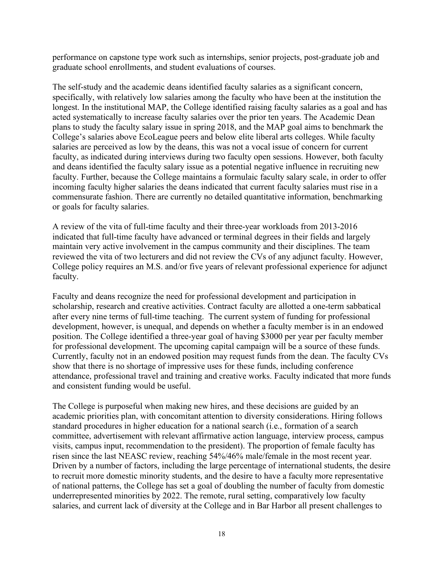performance on capstone type work such as internships, senior projects, post-graduate job and graduate school enrollments, and student evaluations of courses.

The self-study and the academic deans identified faculty salaries as a significant concern, specifically, with relatively low salaries among the faculty who have been at the institution the longest. In the institutional MAP, the College identified raising faculty salaries as a goal and has acted systematically to increase faculty salaries over the prior ten years. The Academic Dean plans to study the faculty salary issue in spring 2018, and the MAP goal aims to benchmark the College's salaries above EcoLeague peers and below elite liberal arts colleges. While faculty salaries are perceived as low by the deans, this was not a vocal issue of concern for current faculty, as indicated during interviews during two faculty open sessions. However, both faculty and deans identified the faculty salary issue as a potential negative influence in recruiting new faculty. Further, because the College maintains a formulaic faculty salary scale, in order to offer incoming faculty higher salaries the deans indicated that current faculty salaries must rise in a commensurate fashion. There are currently no detailed quantitative information, benchmarking or goals for faculty salaries.

A review of the vita of full-time faculty and their three-year workloads from 2013-2016 indicated that full-time faculty have advanced or terminal degrees in their fields and largely maintain very active involvement in the campus community and their disciplines. The team reviewed the vita of two lecturers and did not review the CVs of any adjunct faculty. However, College policy requires an M.S. and/or five years of relevant professional experience for adjunct faculty.

Faculty and deans recognize the need for professional development and participation in scholarship, research and creative activities. Contract faculty are allotted a one-term sabbatical after every nine terms of full-time teaching. The current system of funding for professional development, however, is unequal, and depends on whether a faculty member is in an endowed position. The College identified a three-year goal of having \$3000 per year per faculty member for professional development. The upcoming capital campaign will be a source of these funds. Currently, faculty not in an endowed position may request funds from the dean. The faculty CVs show that there is no shortage of impressive uses for these funds, including conference attendance, professional travel and training and creative works. Faculty indicated that more funds and consistent funding would be useful.

The College is purposeful when making new hires, and these decisions are guided by an academic priorities plan, with concomitant attention to diversity considerations. Hiring follows standard procedures in higher education for a national search (i.e., formation of a search committee, advertisement with relevant affirmative action language, interview process, campus visits, campus input, recommendation to the president). The proportion of female faculty has risen since the last NEASC review, reaching 54%/46% male/female in the most recent year. Driven by a number of factors, including the large percentage of international students, the desire to recruit more domestic minority students, and the desire to have a faculty more representative of national patterns, the College has set a goal of doubling the number of faculty from domestic underrepresented minorities by 2022. The remote, rural setting, comparatively low faculty salaries, and current lack of diversity at the College and in Bar Harbor all present challenges to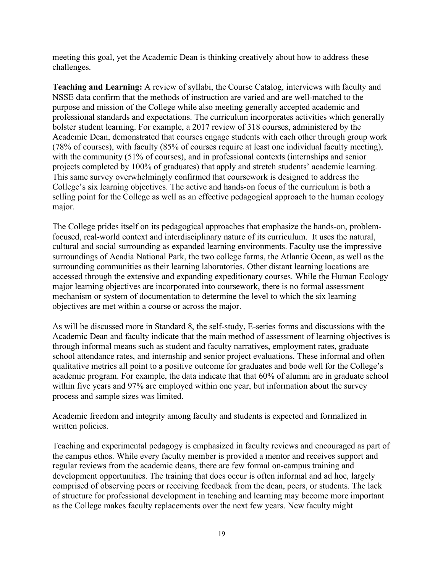meeting this goal, yet the Academic Dean is thinking creatively about how to address these challenges.

**Teaching and Learning:** A review of syllabi, the Course Catalog, interviews with faculty and NSSE data confirm that the methods of instruction are varied and are well-matched to the purpose and mission of the College while also meeting generally accepted academic and professional standards and expectations. The curriculum incorporates activities which generally bolster student learning. For example, a 2017 review of 318 courses, administered by the Academic Dean, demonstrated that courses engage students with each other through group work (78% of courses), with faculty (85% of courses require at least one individual faculty meeting), with the community (51% of courses), and in professional contexts (internships and senior projects completed by 100% of graduates) that apply and stretch students' academic learning. This same survey overwhelmingly confirmed that coursework is designed to address the College's six learning objectives. The active and hands-on focus of the curriculum is both a selling point for the College as well as an effective pedagogical approach to the human ecology major.

The College prides itself on its pedagogical approaches that emphasize the hands-on, problemfocused, real-world context and interdisciplinary nature of its curriculum. It uses the natural, cultural and social surrounding as expanded learning environments. Faculty use the impressive surroundings of Acadia National Park, the two college farms, the Atlantic Ocean, as well as the surrounding communities as their learning laboratories. Other distant learning locations are accessed through the extensive and expanding expeditionary courses. While the Human Ecology major learning objectives are incorporated into coursework, there is no formal assessment mechanism or system of documentation to determine the level to which the six learning objectives are met within a course or across the major.

As will be discussed more in Standard 8, the self-study, E-series forms and discussions with the Academic Dean and faculty indicate that the main method of assessment of learning objectives is through informal means such as student and faculty narratives, employment rates, graduate school attendance rates, and internship and senior project evaluations. These informal and often qualitative metrics all point to a positive outcome for graduates and bode well for the College's academic program. For example, the data indicate that that 60% of alumni are in graduate school within five years and 97% are employed within one year, but information about the survey process and sample sizes was limited.

Academic freedom and integrity among faculty and students is expected and formalized in written policies.

Teaching and experimental pedagogy is emphasized in faculty reviews and encouraged as part of the campus ethos. While every faculty member is provided a mentor and receives support and regular reviews from the academic deans, there are few formal on-campus training and development opportunities. The training that does occur is often informal and ad hoc, largely comprised of observing peers or receiving feedback from the dean, peers, or students. The lack of structure for professional development in teaching and learning may become more important as the College makes faculty replacements over the next few years. New faculty might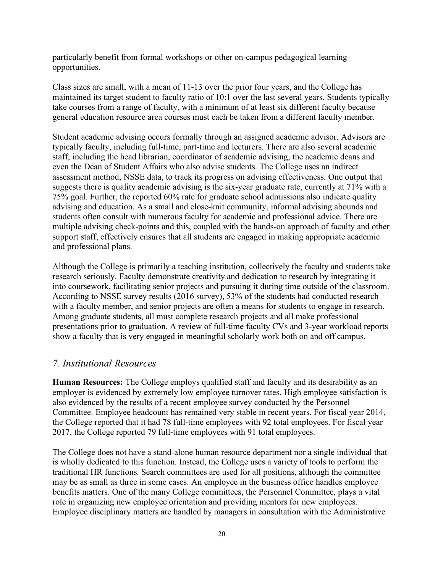particularly benefit from formal workshops or other on-campus pedagogical learning opportunities.

Class sizes are small, with a mean of 11-13 over the prior four years, and the College has maintained its target student to faculty ratio of 10:1 over the last several years. Students typically take courses from a range of faculty, with a minimum of at least six different faculty because general education resource area courses must each be taken from a different faculty member.

Student academic advising occurs formally through an assigned academic advisor. Advisors are typically faculty, including full-time, part-time and lecturers. There are also several academic staff, including the head librarian, coordinator of academic advising, the academic deans and even the Dean of Student Affairs who also advise students. The College uses an indirect assessment method, NSSE data, to track its progress on advising effectiveness. One output that suggests there is quality academic advising is the six-year graduate rate, currently at 71% with a 75% goal. Further, the reported 60% rate for graduate school admissions also indicate quality advising and education. As a small and close-knit community, informal advising abounds and students often consult with numerous faculty for academic and professional advice. There are multiple advising check-points and this, coupled with the hands-on approach of faculty and other support staff, effectively ensures that all students are engaged in making appropriate academic and professional plans.

Although the College is primarily a teaching institution, collectively the faculty and students take research seriously. Faculty demonstrate creativity and dedication to research by integrating it into coursework, facilitating senior projects and pursuing it during time outside of the classroom. According to NSSE survey results (2016 survey), 53% of the students had conducted research with a faculty member, and senior projects are often a means for students to engage in research. Among graduate students, all must complete research projects and all make professional presentations prior to graduation. A review of full-time faculty CVs and 3-year workload reports show a faculty that is very engaged in meaningful scholarly work both on and off campus.

#### *7. Institutional Resources*

**Human Resources:** The College employs qualified staff and faculty and its desirability as an employer is evidenced by extremely low employee turnover rates. High employee satisfaction is also evidenced by the results of a recent employee survey conducted by the Personnel Committee. Employee headcount has remained very stable in recent years. For fiscal year 2014, the College reported that it had 78 full-time employees with 92 total employees. For fiscal year 2017, the College reported 79 full-time employees with 91 total employees.

The College does not have a stand-alone human resource department nor a single individual that is wholly dedicated to this function. Instead, the College uses a variety of tools to perform the traditional HR functions. Search committees are used for all positions, although the committee may be as small as three in some cases. An employee in the business office handles employee benefits matters. One of the many College committees, the Personnel Committee, plays a vital role in organizing new employee orientation and providing mentors for new employees. Employee disciplinary matters are handled by managers in consultation with the Administrative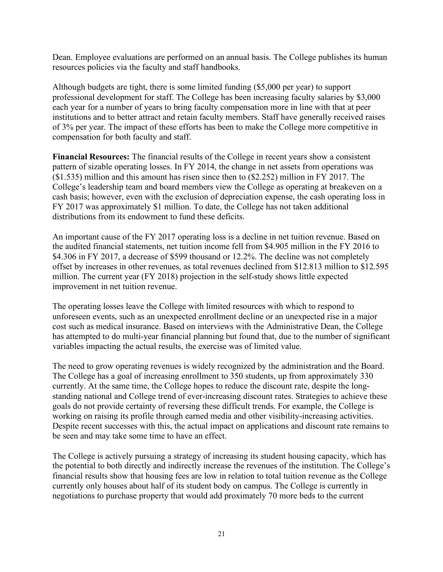Dean. Employee evaluations are performed on an annual basis. The College publishes its human resources policies via the faculty and staff handbooks.

Although budgets are tight, there is some limited funding (\$5,000 per year) to support professional development for staff. The College has been increasing faculty salaries by \$3,000 each year for a number of years to bring faculty compensation more in line with that at peer institutions and to better attract and retain faculty members. Staff have generally received raises of 3% per year. The impact of these efforts has been to make the College more competitive in compensation for both faculty and staff.

**Financial Resources:** The financial results of the College in recent years show a consistent pattern of sizable operating losses. In FY 2014, the change in net assets from operations was (\$1.535) million and this amount has risen since then to (\$2.252) million in FY 2017. The College's leadership team and board members view the College as operating at breakeven on a cash basis; however, even with the exclusion of depreciation expense, the cash operating loss in FY 2017 was approximately \$1 million. To date, the College has not taken additional distributions from its endowment to fund these deficits.

An important cause of the FY 2017 operating loss is a decline in net tuition revenue. Based on the audited financial statements, net tuition income fell from \$4.905 million in the FY 2016 to \$4.306 in FY 2017, a decrease of \$599 thousand or 12.2%. The decline was not completely offset by increases in other revenues, as total revenues declined from \$12.813 million to \$12.595 million. The current year (FY 2018) projection in the self-study shows little expected improvement in net tuition revenue.

The operating losses leave the College with limited resources with which to respond to unforeseen events, such as an unexpected enrollment decline or an unexpected rise in a major cost such as medical insurance. Based on interviews with the Administrative Dean, the College has attempted to do multi-year financial planning but found that, due to the number of significant variables impacting the actual results, the exercise was of limited value.

The need to grow operating revenues is widely recognized by the administration and the Board. The College has a goal of increasing enrollment to 350 students, up from approximately 330 currently. At the same time, the College hopes to reduce the discount rate, despite the longstanding national and College trend of ever-increasing discount rates. Strategies to achieve these goals do not provide certainty of reversing these difficult trends. For example, the College is working on raising its profile through earned media and other visibility-increasing activities. Despite recent successes with this, the actual impact on applications and discount rate remains to be seen and may take some time to have an effect.

The College is actively pursuing a strategy of increasing its student housing capacity, which has the potential to both directly and indirectly increase the revenues of the institution. The College's financial results show that housing fees are low in relation to total tuition revenue as the College currently only houses about half of its student body on campus. The College is currently in negotiations to purchase property that would add proximately 70 more beds to the current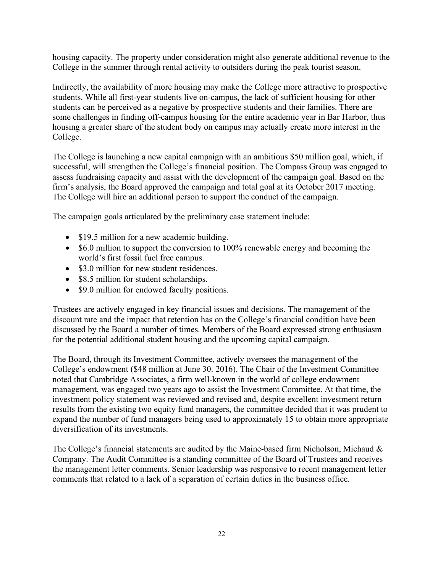housing capacity. The property under consideration might also generate additional revenue to the College in the summer through rental activity to outsiders during the peak tourist season.

Indirectly, the availability of more housing may make the College more attractive to prospective students. While all first-year students live on-campus, the lack of sufficient housing for other students can be perceived as a negative by prospective students and their families. There are some challenges in finding off-campus housing for the entire academic year in Bar Harbor, thus housing a greater share of the student body on campus may actually create more interest in the College.

The College is launching a new capital campaign with an ambitious \$50 million goal, which, if successful, will strengthen the College's financial position. The Compass Group was engaged to assess fundraising capacity and assist with the development of the campaign goal. Based on the firm's analysis, the Board approved the campaign and total goal at its October 2017 meeting. The College will hire an additional person to support the conduct of the campaign.

The campaign goals articulated by the preliminary case statement include:

- \$19.5 million for a new academic building.
- \$6.0 million to support the conversion to 100% renewable energy and becoming the world's first fossil fuel free campus.
- \$3.0 million for new student residences.
- \$8.5 million for student scholarships.
- \$9.0 million for endowed faculty positions.

Trustees are actively engaged in key financial issues and decisions. The management of the discount rate and the impact that retention has on the College's financial condition have been discussed by the Board a number of times. Members of the Board expressed strong enthusiasm for the potential additional student housing and the upcoming capital campaign.

The Board, through its Investment Committee, actively oversees the management of the College's endowment (\$48 million at June 30. 2016). The Chair of the Investment Committee noted that Cambridge Associates, a firm well-known in the world of college endowment management, was engaged two years ago to assist the Investment Committee. At that time, the investment policy statement was reviewed and revised and, despite excellent investment return results from the existing two equity fund managers, the committee decided that it was prudent to expand the number of fund managers being used to approximately 15 to obtain more appropriate diversification of its investments.

The College's financial statements are audited by the Maine-based firm Nicholson, Michaud & Company. The Audit Committee is a standing committee of the Board of Trustees and receives the management letter comments. Senior leadership was responsive to recent management letter comments that related to a lack of a separation of certain duties in the business office.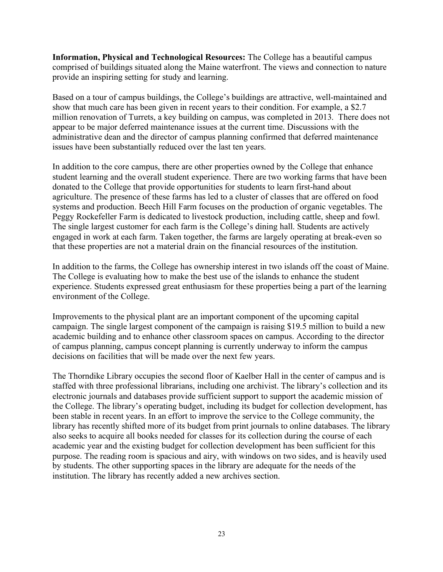**Information, Physical and Technological Resources:** The College has a beautiful campus comprised of buildings situated along the Maine waterfront. The views and connection to nature provide an inspiring setting for study and learning.

Based on a tour of campus buildings, the College's buildings are attractive, well-maintained and show that much care has been given in recent years to their condition. For example, a \$2.7 million renovation of Turrets, a key building on campus, was completed in 2013. There does not appear to be major deferred maintenance issues at the current time. Discussions with the administrative dean and the director of campus planning confirmed that deferred maintenance issues have been substantially reduced over the last ten years.

In addition to the core campus, there are other properties owned by the College that enhance student learning and the overall student experience. There are two working farms that have been donated to the College that provide opportunities for students to learn first-hand about agriculture. The presence of these farms has led to a cluster of classes that are offered on food systems and production. Beech Hill Farm focuses on the production of organic vegetables. The Peggy Rockefeller Farm is dedicated to livestock production, including cattle, sheep and fowl. The single largest customer for each farm is the College's dining hall. Students are actively engaged in work at each farm. Taken together, the farms are largely operating at break-even so that these properties are not a material drain on the financial resources of the institution.

In addition to the farms, the College has ownership interest in two islands off the coast of Maine. The College is evaluating how to make the best use of the islands to enhance the student experience. Students expressed great enthusiasm for these properties being a part of the learning environment of the College.

Improvements to the physical plant are an important component of the upcoming capital campaign. The single largest component of the campaign is raising \$19.5 million to build a new academic building and to enhance other classroom spaces on campus. According to the director of campus planning, campus concept planning is currently underway to inform the campus decisions on facilities that will be made over the next few years.

The Thorndike Library occupies the second floor of Kaelber Hall in the center of campus and is staffed with three professional librarians, including one archivist. The library's collection and its electronic journals and databases provide sufficient support to support the academic mission of the College. The library's operating budget, including its budget for collection development, has been stable in recent years. In an effort to improve the service to the College community, the library has recently shifted more of its budget from print journals to online databases. The library also seeks to acquire all books needed for classes for its collection during the course of each academic year and the existing budget for collection development has been sufficient for this purpose. The reading room is spacious and airy, with windows on two sides, and is heavily used by students. The other supporting spaces in the library are adequate for the needs of the institution. The library has recently added a new archives section.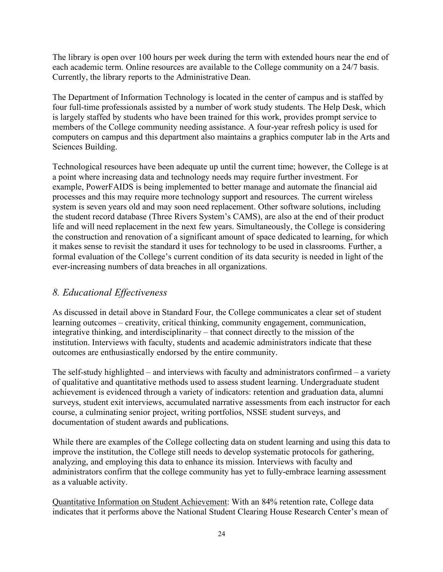The library is open over 100 hours per week during the term with extended hours near the end of each academic term. Online resources are available to the College community on a 24/7 basis. Currently, the library reports to the Administrative Dean.

The Department of Information Technology is located in the center of campus and is staffed by four full-time professionals assisted by a number of work study students. The Help Desk, which is largely staffed by students who have been trained for this work, provides prompt service to members of the College community needing assistance. A four-year refresh policy is used for computers on campus and this department also maintains a graphics computer lab in the Arts and Sciences Building.

Technological resources have been adequate up until the current time; however, the College is at a point where increasing data and technology needs may require further investment. For example, PowerFAIDS is being implemented to better manage and automate the financial aid processes and this may require more technology support and resources. The current wireless system is seven years old and may soon need replacement. Other software solutions, including the student record database (Three Rivers System's CAMS), are also at the end of their product life and will need replacement in the next few years. Simultaneously, the College is considering the construction and renovation of a significant amount of space dedicated to learning, for which it makes sense to revisit the standard it uses for technology to be used in classrooms. Further, a formal evaluation of the College's current condition of its data security is needed in light of the ever-increasing numbers of data breaches in all organizations.

# *8. Educational Effectiveness*

As discussed in detail above in Standard Four, the College communicates a clear set of student learning outcomes – creativity, critical thinking, community engagement, communication, integrative thinking, and interdisciplinarity – that connect directly to the mission of the institution. Interviews with faculty, students and academic administrators indicate that these outcomes are enthusiastically endorsed by the entire community.

The self-study highlighted – and interviews with faculty and administrators confirmed – a variety of qualitative and quantitative methods used to assess student learning. Undergraduate student achievement is evidenced through a variety of indicators: retention and graduation data, alumni surveys, student exit interviews, accumulated narrative assessments from each instructor for each course, a culminating senior project, writing portfolios, NSSE student surveys, and documentation of student awards and publications.

While there are examples of the College collecting data on student learning and using this data to improve the institution, the College still needs to develop systematic protocols for gathering, analyzing, and employing this data to enhance its mission. Interviews with faculty and administrators confirm that the college community has yet to fully-embrace learning assessment as a valuable activity.

Quantitative Information on Student Achievement: With an 84% retention rate, College data indicates that it performs above the National Student Clearing House Research Center's mean of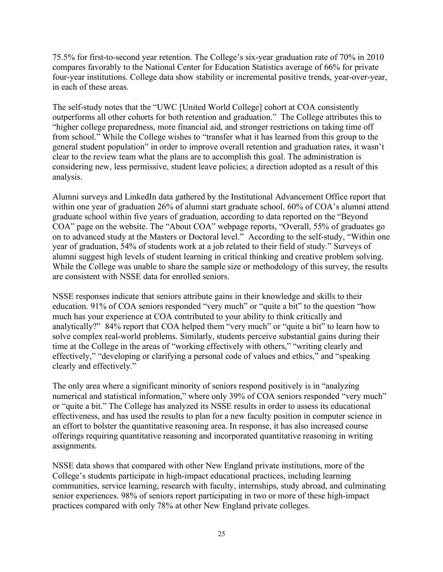75.5% for first-to-second year retention. The College's six-year graduation rate of 70% in 2010 compares favorably to the National Center for Education Statistics average of 66% for private four-year institutions. College data show stability or incremental positive trends, year-over-year, in each of these areas.

The self-study notes that the "UWC [United World College] cohort at COA consistently outperforms all other cohorts for both retention and graduation." The College attributes this to "higher college preparedness, more financial aid, and stronger restrictions on taking time off from school." While the College wishes to "transfer what it has learned from this group to the general student population" in order to improve overall retention and graduation rates, it wasn't clear to the review team what the plans are to accomplish this goal. The administration is considering new, less permissive, student leave policies; a direction adopted as a result of this analysis.

Alumni surveys and LinkedIn data gathered by the Institutional Advancement Office report that within one year of graduation 26% of alumni start graduate school. 60% of COA's alumni attend graduate school within five years of graduation, according to data reported on the "Beyond COA" page on the website. The "About COA" webpage reports, "Overall, 55% of graduates go on to advanced study at the Masters or Doctoral level." According to the self-study, "Within one year of graduation, 54% of students work at a job related to their field of study." Surveys of alumni suggest high levels of student learning in critical thinking and creative problem solving. While the College was unable to share the sample size or methodology of this survey, the results are consistent with NSSE data for enrolled seniors.

NSSE responses indicate that seniors attribute gains in their knowledge and skills to their education. 91% of COA seniors responded "very much" or "quite a bit" to the question "how much has your experience at COA contributed to your ability to think critically and analytically?" 84% report that COA helped them "very much" or "quite a bit" to learn how to solve complex real-world problems. Similarly, students perceive substantial gains during their time at the College in the areas of "working effectively with others," "writing clearly and effectively," "developing or clarifying a personal code of values and ethics," and "speaking clearly and effectively."

The only area where a significant minority of seniors respond positively is in "analyzing numerical and statistical information," where only 39% of COA seniors responded "very much" or "quite a bit." The College has analyzed its NSSE results in order to assess its educational effectiveness, and has used the results to plan for a new faculty position in computer science in an effort to bolster the quantitative reasoning area. In response, it has also increased course offerings requiring quantitative reasoning and incorporated quantitative reasoning in writing assignments.

NSSE data shows that compared with other New England private institutions, more of the College's students participate in high-impact educational practices, including learning communities, service learning, research with faculty, internships, study abroad, and culminating senior experiences. 98% of seniors report participating in two or more of these high-impact practices compared with only 78% at other New England private colleges.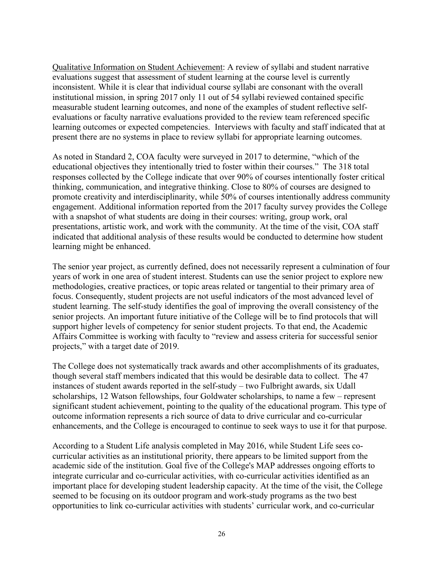Qualitative Information on Student Achievement: A review of syllabi and student narrative evaluations suggest that assessment of student learning at the course level is currently inconsistent. While it is clear that individual course syllabi are consonant with the overall institutional mission, in spring 2017 only 11 out of 54 syllabi reviewed contained specific measurable student learning outcomes, and none of the examples of student reflective selfevaluations or faculty narrative evaluations provided to the review team referenced specific learning outcomes or expected competencies. Interviews with faculty and staff indicated that at present there are no systems in place to review syllabi for appropriate learning outcomes.

As noted in Standard 2, COA faculty were surveyed in 2017 to determine, "which of the educational objectives they intentionally tried to foster within their courses." The 318 total responses collected by the College indicate that over 90% of courses intentionally foster critical thinking, communication, and integrative thinking. Close to 80% of courses are designed to promote creativity and interdisciplinarity, while 50% of courses intentionally address community engagement. Additional information reported from the 2017 faculty survey provides the College with a snapshot of what students are doing in their courses: writing, group work, oral presentations, artistic work, and work with the community. At the time of the visit, COA staff indicated that additional analysis of these results would be conducted to determine how student learning might be enhanced.

The senior year project, as currently defined, does not necessarily represent a culmination of four years of work in one area of student interest. Students can use the senior project to explore new methodologies, creative practices, or topic areas related or tangential to their primary area of focus. Consequently, student projects are not useful indicators of the most advanced level of student learning. The self-study identifies the goal of improving the overall consistency of the senior projects. An important future initiative of the College will be to find protocols that will support higher levels of competency for senior student projects. To that end, the Academic Affairs Committee is working with faculty to "review and assess criteria for successful senior projects," with a target date of 2019.

The College does not systematically track awards and other accomplishments of its graduates, though several staff members indicated that this would be desirable data to collect. The 47 instances of student awards reported in the self-study – two Fulbright awards, six Udall scholarships, 12 Watson fellowships, four Goldwater scholarships, to name a few – represent significant student achievement, pointing to the quality of the educational program. This type of outcome information represents a rich source of data to drive curricular and co-curricular enhancements, and the College is encouraged to continue to seek ways to use it for that purpose.

According to a Student Life analysis completed in May 2016, while Student Life sees cocurricular activities as an institutional priority, there appears to be limited support from the academic side of the institution. Goal five of the College's MAP addresses ongoing efforts to integrate curricular and co-curricular activities, with co-curricular activities identified as an important place for developing student leadership capacity. At the time of the visit, the College seemed to be focusing on its outdoor program and work-study programs as the two best opportunities to link co-curricular activities with students' curricular work, and co-curricular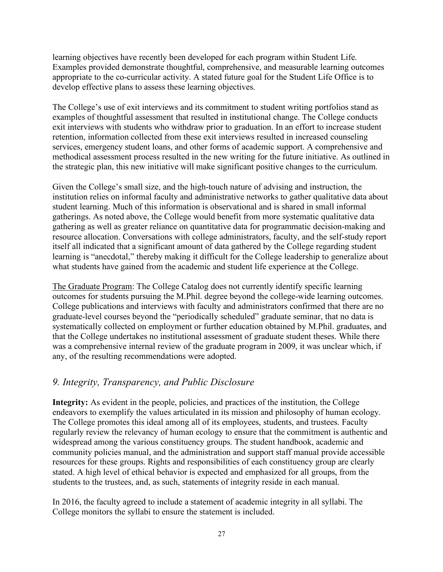learning objectives have recently been developed for each program within Student Life. Examples provided demonstrate thoughtful, comprehensive, and measurable learning outcomes appropriate to the co-curricular activity. A stated future goal for the Student Life Office is to develop effective plans to assess these learning objectives.

The College's use of exit interviews and its commitment to student writing portfolios stand as examples of thoughtful assessment that resulted in institutional change. The College conducts exit interviews with students who withdraw prior to graduation. In an effort to increase student retention, information collected from these exit interviews resulted in increased counseling services, emergency student loans, and other forms of academic support. A comprehensive and methodical assessment process resulted in the new writing for the future initiative. As outlined in the strategic plan, this new initiative will make significant positive changes to the curriculum.

Given the College's small size, and the high-touch nature of advising and instruction, the institution relies on informal faculty and administrative networks to gather qualitative data about student learning. Much of this information is observational and is shared in small informal gatherings. As noted above, the College would benefit from more systematic qualitative data gathering as well as greater reliance on quantitative data for programmatic decision-making and resource allocation. Conversations with college administrators, faculty, and the self-study report itself all indicated that a significant amount of data gathered by the College regarding student learning is "anecdotal," thereby making it difficult for the College leadership to generalize about what students have gained from the academic and student life experience at the College.

The Graduate Program: The College Catalog does not currently identify specific learning outcomes for students pursuing the M.Phil. degree beyond the college-wide learning outcomes. College publications and interviews with faculty and administrators confirmed that there are no graduate-level courses beyond the "periodically scheduled" graduate seminar, that no data is systematically collected on employment or further education obtained by M.Phil. graduates, and that the College undertakes no institutional assessment of graduate student theses. While there was a comprehensive internal review of the graduate program in 2009, it was unclear which, if any, of the resulting recommendations were adopted.

#### *9. Integrity, Transparency, and Public Disclosure*

**Integrity:** As evident in the people, policies, and practices of the institution, the College endeavors to exemplify the values articulated in its mission and philosophy of human ecology. The College promotes this ideal among all of its employees, students, and trustees. Faculty regularly review the relevancy of human ecology to ensure that the commitment is authentic and widespread among the various constituency groups. The student handbook, academic and community policies manual, and the administration and support staff manual provide accessible resources for these groups. Rights and responsibilities of each constituency group are clearly stated. A high level of ethical behavior is expected and emphasized for all groups, from the students to the trustees, and, as such, statements of integrity reside in each manual.

In 2016, the faculty agreed to include a statement of academic integrity in all syllabi. The College monitors the syllabi to ensure the statement is included.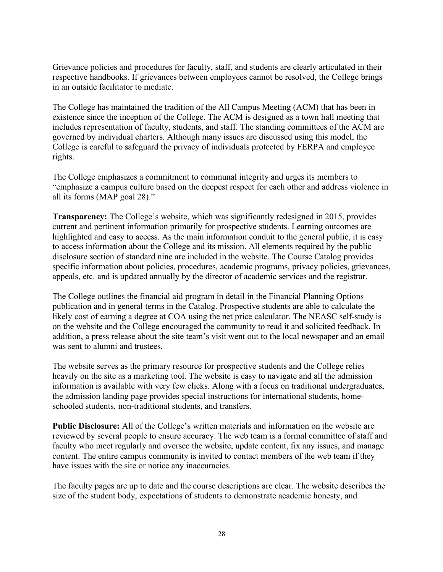Grievance policies and procedures for faculty, staff, and students are clearly articulated in their respective handbooks. If grievances between employees cannot be resolved, the College brings in an outside facilitator to mediate.

The College has maintained the tradition of the All Campus Meeting (ACM) that has been in existence since the inception of the College. The ACM is designed as a town hall meeting that includes representation of faculty, students, and staff. The standing committees of the ACM are governed by individual charters. Although many issues are discussed using this model, the College is careful to safeguard the privacy of individuals protected by FERPA and employee rights.

The College emphasizes a commitment to communal integrity and urges its members to "emphasize a campus culture based on the deepest respect for each other and address violence in all its forms (MAP goal 28)."

**Transparency:** The College's website, which was significantly redesigned in 2015, provides current and pertinent information primarily for prospective students. Learning outcomes are highlighted and easy to access. As the main information conduit to the general public, it is easy to access information about the College and its mission. All elements required by the public disclosure section of standard nine are included in the website. The Course Catalog provides specific information about policies, procedures, academic programs, privacy policies, grievances, appeals, etc. and is updated annually by the director of academic services and the registrar.

The College outlines the financial aid program in detail in the Financial Planning Options publication and in general terms in the Catalog. Prospective students are able to calculate the likely cost of earning a degree at COA using the net price calculator. The NEASC self-study is on the website and the College encouraged the community to read it and solicited feedback. In addition, a press release about the site team's visit went out to the local newspaper and an email was sent to alumni and trustees.

The website serves as the primary resource for prospective students and the College relies heavily on the site as a marketing tool. The website is easy to navigate and all the admission information is available with very few clicks. Along with a focus on traditional undergraduates, the admission landing page provides special instructions for international students, homeschooled students, non-traditional students, and transfers.

**Public Disclosure:** All of the College's written materials and information on the website are reviewed by several people to ensure accuracy. The web team is a formal committee of staff and faculty who meet regularly and oversee the website, update content, fix any issues, and manage content. The entire campus community is invited to contact members of the web team if they have issues with the site or notice any inaccuracies.

The faculty pages are up to date and the course descriptions are clear. The website describes the size of the student body, expectations of students to demonstrate academic honesty, and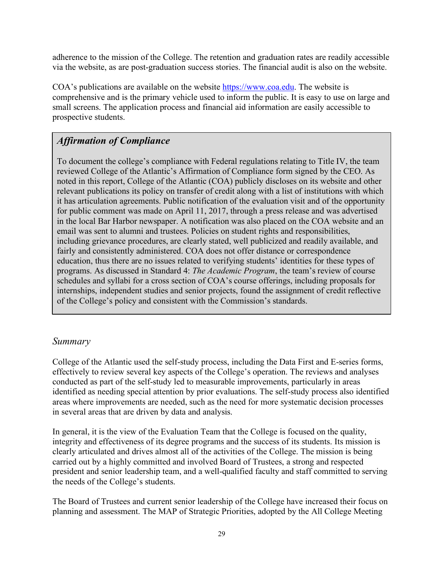adherence to the mission of the College. The retention and graduation rates are readily accessible via the website, as are post-graduation success stories. The financial audit is also on the website.

COA's publications are available on the website https://www.coa.edu. The website is comprehensive and is the primary vehicle used to inform the public. It is easy to use on large and small screens. The application process and financial aid information are easily accessible to prospective students.

# *Affirmation of Compliance*

To document the college's compliance with Federal regulations relating to Title IV, the team reviewed College of the Atlantic's Affirmation of Compliance form signed by the CEO. As noted in this report, College of the Atlantic (COA) publicly discloses on its website and other relevant publications its policy on transfer of credit along with a list of institutions with which it has articulation agreements. Public notification of the evaluation visit and of the opportunity for public comment was made on April 11, 2017, through a press release and was advertised in the local Bar Harbor newspaper. A notification was also placed on the COA website and an email was sent to alumni and trustees. Policies on student rights and responsibilities, including grievance procedures, are clearly stated, well publicized and readily available, and fairly and consistently administered. COA does not offer distance or correspondence education, thus there are no issues related to verifying students' identities for these types of programs. As discussed in Standard 4: *The Academic Program*, the team's review of course schedules and syllabi for a cross section of COA's course offerings, including proposals for internships, independent studies and senior projects, found the assignment of credit reflective of the College's policy and consistent with the Commission's standards.

# *Summary*

College of the Atlantic used the self-study process, including the Data First and E-series forms, effectively to review several key aspects of the College's operation. The reviews and analyses conducted as part of the self-study led to measurable improvements, particularly in areas identified as needing special attention by prior evaluations. The self-study process also identified areas where improvements are needed, such as the need for more systematic decision processes in several areas that are driven by data and analysis.

In general, it is the view of the Evaluation Team that the College is focused on the quality, integrity and effectiveness of its degree programs and the success of its students. Its mission is clearly articulated and drives almost all of the activities of the College. The mission is being carried out by a highly committed and involved Board of Trustees, a strong and respected president and senior leadership team, and a well-qualified faculty and staff committed to serving the needs of the College's students.

The Board of Trustees and current senior leadership of the College have increased their focus on planning and assessment. The MAP of Strategic Priorities, adopted by the All College Meeting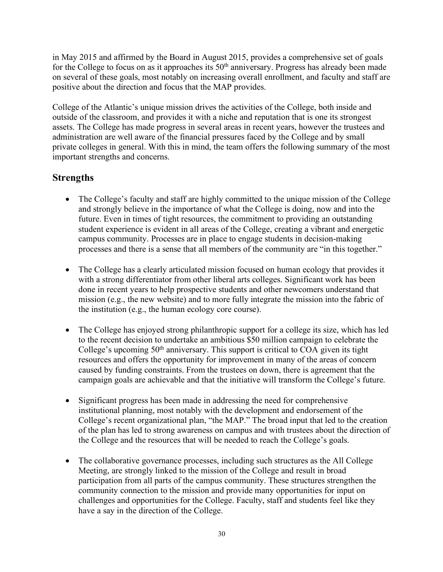in May 2015 and affirmed by the Board in August 2015, provides a comprehensive set of goals for the College to focus on as it approaches its 50<sup>th</sup> anniversary. Progress has already been made on several of these goals, most notably on increasing overall enrollment, and faculty and staff are positive about the direction and focus that the MAP provides.

College of the Atlantic's unique mission drives the activities of the College, both inside and outside of the classroom, and provides it with a niche and reputation that is one its strongest assets. The College has made progress in several areas in recent years, however the trustees and administration are well aware of the financial pressures faced by the College and by small private colleges in general. With this in mind, the team offers the following summary of the most important strengths and concerns.

# **Strengths**

- The College's faculty and staff are highly committed to the unique mission of the College and strongly believe in the importance of what the College is doing, now and into the future. Even in times of tight resources, the commitment to providing an outstanding student experience is evident in all areas of the College, creating a vibrant and energetic campus community. Processes are in place to engage students in decision-making processes and there is a sense that all members of the community are "in this together."
- The College has a clearly articulated mission focused on human ecology that provides it with a strong differentiator from other liberal arts colleges. Significant work has been done in recent years to help prospective students and other newcomers understand that mission (e.g., the new website) and to more fully integrate the mission into the fabric of the institution (e.g., the human ecology core course).
- The College has enjoyed strong philanthropic support for a college its size, which has led to the recent decision to undertake an ambitious \$50 million campaign to celebrate the College's upcoming  $50<sup>th</sup>$  anniversary. This support is critical to COA given its tight resources and offers the opportunity for improvement in many of the areas of concern caused by funding constraints. From the trustees on down, there is agreement that the campaign goals are achievable and that the initiative will transform the College's future.
- Significant progress has been made in addressing the need for comprehensive institutional planning, most notably with the development and endorsement of the College's recent organizational plan, "the MAP." The broad input that led to the creation of the plan has led to strong awareness on campus and with trustees about the direction of the College and the resources that will be needed to reach the College's goals.
- The collaborative governance processes, including such structures as the All College Meeting, are strongly linked to the mission of the College and result in broad participation from all parts of the campus community. These structures strengthen the community connection to the mission and provide many opportunities for input on challenges and opportunities for the College. Faculty, staff and students feel like they have a say in the direction of the College.